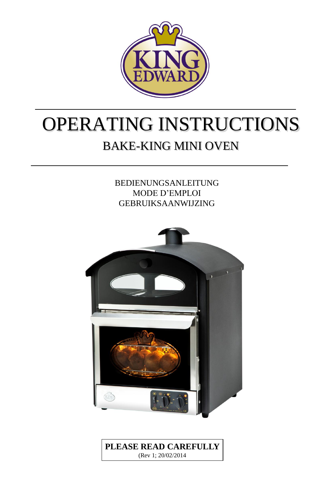

# OPERATING INSTRUCTIONS BAKE-KING MINI OVEN

BEDIENUNGSANLEITUNG MODE D'EMPLOI GEBRUIKSAANWIJZING



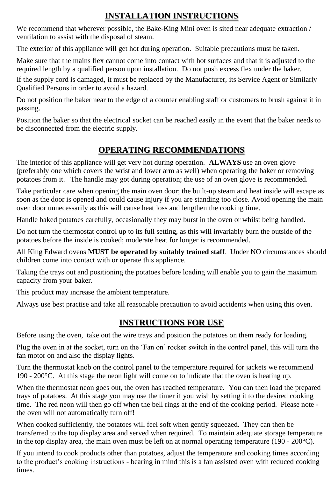## **INSTALLATION INSTRUCTIONS**

We recommend that wherever possible, the Bake-King Mini oven is sited near adequate extraction / ventilation to assist with the disposal of steam.

The exterior of this appliance will get hot during operation. Suitable precautions must be taken.

Make sure that the mains flex cannot come into contact with hot surfaces and that it is adjusted to the required length by a qualified person upon installation. Do not push excess flex under the baker.

If the supply cord is damaged, it must be replaced by the Manufacturer, its Service Agent or Similarly Qualified Persons in order to avoid a hazard.

Do not position the baker near to the edge of a counter enabling staff or customers to brush against it in passing.

Position the baker so that the electrical socket can be reached easily in the event that the baker needs to be disconnected from the electric supply.

## **OPERATING RECOMMENDATIONS**

The interior of this appliance will get very hot during operation. **ALWAYS** use an oven glove (preferably one which covers the wrist and lower arm as well) when operating the baker or removing potatoes from it. The handle may got during operation; the use of an oven glove is recommended.

Take particular care when opening the main oven door; the built-up steam and heat inside will escape as soon as the door is opened and could cause injury if you are standing too close. Avoid opening the main oven door unnecessarily as this will cause heat loss and lengthen the cooking time.

Handle baked potatoes carefully, occasionally they may burst in the oven or whilst being handled.

Do not turn the thermostat control up to its full setting, as this will invariably burn the outside of the potatoes before the inside is cooked; moderate heat for longer is recommended.

All King Edward ovens **MUST be operated by suitably trained staff**. Under NO circumstances should children come into contact with or operate this appliance.

Taking the trays out and positioning the potatoes before loading will enable you to gain the maximum capacity from your baker.

This product may increase the ambient temperature.

Always use best practise and take all reasonable precaution to avoid accidents when using this oven.

## **INSTRUCTIONS FOR USE**

Before using the oven, take out the wire trays and position the potatoes on them ready for loading.

Plug the oven in at the socket, turn on the 'Fan on' rocker switch in the control panel, this will turn the fan motor on and also the display lights.

Turn the thermostat knob on the control panel to the temperature required for jackets we recommend 190 - 200 $^{\circ}$ C. At this stage the neon light will come on to indicate that the oven is heating up.

When the thermostat neon goes out, the oven has reached temperature. You can then load the prepared trays of potatoes. At this stage you may use the timer if you wish by setting it to the desired cooking time. The red neon will then go off when the bell rings at the end of the cooking period. Please note the oven will not automatically turn off!

When cooked sufficiently, the potatoes will feel soft when gently squeezed. They can then be transferred to the top display area and served when required. To maintain adequate storage temperature in the top display area, the main oven must be left on at normal operating temperature (190 - 200 $^{\circ}$ C).

If you intend to cook products other than potatoes, adjust the temperature and cooking times according to the product's cooking instructions - bearing in mind this is a fan assisted oven with reduced cooking times.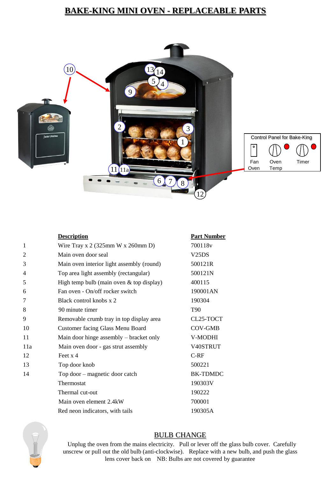## **BAKE-KING MINI OVEN - REPLACEABLE PARTS**



|                | <b>Description</b>                                      | <b>Part Number</b> |
|----------------|---------------------------------------------------------|--------------------|
| $\mathbf{1}$   | Wire Tray x $2(325 \text{mm W} \times 260 \text{mm D})$ | 700118v            |
| $\overline{2}$ | Main oven door seal                                     | V25DS              |
| 3              | 500121R<br>Main oven interior light assembly (round)    |                    |
| 4              | 500121N<br>Top area light assembly (rectangular)        |                    |
| 5              | High temp bulb (main oven $&$ top display)<br>400115    |                    |
| 6              | Fan oven - On/off rocker switch<br>190001AN             |                    |
| 7              | Black control knobs x 2                                 | 190304             |
| 8              | 90 minute timer                                         | T <sub>90</sub>    |
| 9              | Removable crumb tray in top display area                | CL25-TOCT          |
| 10             | Customer facing Glass Menu Board                        | <b>COV-GMB</b>     |
| 11             | Main door hinge assembly – bracket only                 | V-MODHI            |
| 11a            | Main oven door - gas strut assembly                     | V40STRUT           |
| 12             | Feet $x$ 4                                              | $C-RF$             |
| 13             | Top door knob                                           | 500221             |
| 14             | Top door – magnetic door catch                          | <b>BK-TDMDC</b>    |
|                | Thermostat                                              | 190303V            |
|                | Thermal cut-out                                         | 190222             |
|                | Main oven element 2.4kW                                 | 700001             |
|                | Red neon indicators, with tails                         | 190305A            |



#### BULB CHANGE

 Unplug the oven from the mains electricity. Pull or lever off the glass bulb cover. Carefully unscrew or pull out the old bulb (anti-clockwise). Replace with a new bulb, and push the glass lens cover back on NB: Bulbs are not covered by guarantee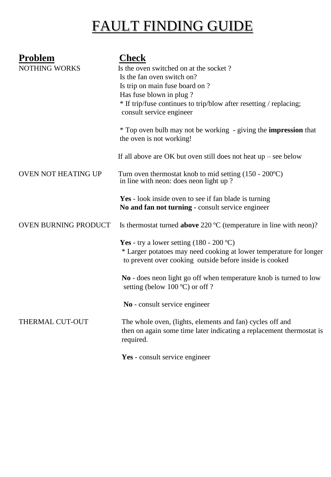## FAULT FINDING GUIDE

| <b>Problem</b><br><b>NOTHING WORKS</b> | <b>Check</b><br>Is the oven switched on at the socket?<br>Is the fan oven switch on?<br>Is trip on main fuse board on ?<br>Has fuse blown in plug?<br>* If trip/fuse continues to trip/blow after resetting / replacing;<br>consult service engineer<br>* Top oven bulb may not be working - giving the <b>impression</b> that<br>the oven is not working! |
|----------------------------------------|------------------------------------------------------------------------------------------------------------------------------------------------------------------------------------------------------------------------------------------------------------------------------------------------------------------------------------------------------------|
|                                        | If all above are OK but oven still does not heat $up$ – see below                                                                                                                                                                                                                                                                                          |
| <b>OVEN NOT HEATING UP</b>             | Turn oven thermostat knob to mid setting $(150 - 200^{\circ}C)$<br>in line with neon: does neon light up?                                                                                                                                                                                                                                                  |
|                                        | Yes - look inside oven to see if fan blade is turning<br>No and fan not turning - consult service engineer                                                                                                                                                                                                                                                 |
| OVEN BURNING PRODUCT                   | Is thermostat turned <b>above</b> 220 $^{\circ}$ C (temperature in line with neon)?                                                                                                                                                                                                                                                                        |
|                                        | Yes - try a lower setting $(180 - 200 \degree C)$<br>* Larger potatoes may need cooking at lower temperature for longer<br>to prevent over cooking outside before inside is cooked                                                                                                                                                                         |
|                                        | No - does neon light go off when temperature knob is turned to low<br>setting (below 100 $^{\circ}$ C) or off?                                                                                                                                                                                                                                             |
|                                        | No - consult service engineer                                                                                                                                                                                                                                                                                                                              |
| THERMAL CUT-OUT                        | The whole oven, (lights, elements and fan) cycles off and<br>then on again some time later indicating a replacement thermostat is<br>required.                                                                                                                                                                                                             |
|                                        | Yes - consult service engineer                                                                                                                                                                                                                                                                                                                             |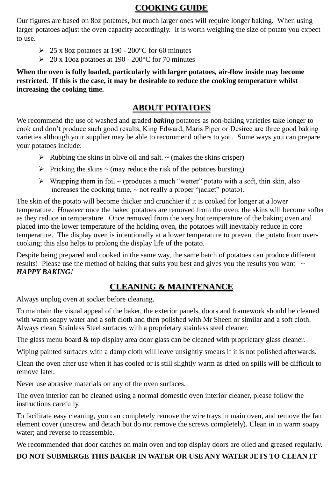## **COOKING GUIDE**

Our figures are based on 8oz potatoes, but much larger ones will require longer baking. When using larger potatoes adjust the oven capacity accordingly. It is worth weighing the size of potato you expect to use.

- $\geq 25$  x 8oz potatoes at 190 200 °C for 60 minutes
- $\geq 20 \times 100$  potatoes at 190 200 °C for 70 minutes

**When the oven is fully loaded, particularly with larger potatoes, air-flow inside may become restricted. If this is the case, it may be desirable to reduce the cooking temperature whilst increasing the cooking time.**

## **ABOUT POTATOES**

We recommend the use of washed and graded *baking* potatoes as non-baking varieties take longer to cook and don't produce such good results, King Edward, Maris Piper or Desiree are three good baking varieties although your supplier may be able to recommend others to you. Some ways you can prepare your potatoes include:

- $\triangleright$  Rubbing the skins in olive oil and salt.  $\sim$  (makes the skins crisper)
- $\triangleright$  Pricking the skins  $\sim$  (may reduce the risk of the potatoes bursting)
- $\triangleright$  Wrapping them in foil ~ (produces a much "wetter" potato with a soft, thin skin, also increases the cooking time,  $\sim$  not really a proper "jacket" potato).

The skin of the potato will become thicker and crunchier if it is cooked for longer at a lower temperature. *However* once the baked potatoes are removed from the oven, the skins will become softer as they reduce in temperature. Once removed from the very hot temperature of the baking oven and placed into the lower temperature of the holding oven, the potatoes will inevitably reduce in core temperature. The display oven is intentionally at a lower temperature to prevent the potato from overcooking; this also helps to prolong the display life of the potato.

Despite being prepared and cooked in the same way, the same batch of potatoes can produce different results! Please use the method of baking that suits you best and gives you the results you want  $\sim$ *HAPPY BAKING!*

## **CLEANING & MAINTENANCE**

Always unplug oven at socket before cleaning.

To maintain the visual appeal of the baker, the exterior panels, doors and framework should be cleaned with warm soapy water and a soft cloth and then polished with Mr Sheen or similar and a soft cloth. Always clean Stainless Steel surfaces with a proprietary stainless steel cleaner.

The glass menu board & top display area door glass can be cleaned with proprietary glass cleaner.

Wiping painted surfaces with a damp cloth will leave unsightly smears if it is not polished afterwards.

Clean the oven after use when it has cooled or is still slightly warm as dried on spills will be difficult to remove later.

Never use abrasive materials on any of the oven surfaces.

The oven interior can be cleaned using a normal domestic oven interior cleaner, please follow the instructions carefully.

To facilitate easy cleaning, you can completely remove the wire trays in main oven, and remove the fan element cover (unscrew and detach but do not remove the screws completely). Clean in in warm soapy water; and reverse to reassemble.

We recommended that door catches on main oven and top display doors are oiled and greased regularly.

## **DO NOT SUBMERGE THIS BAKER IN WATER OR USE ANY WATER JETS TO CLEAN IT**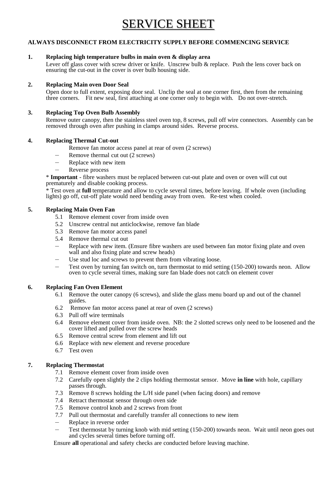## SERVICE SHEET

#### **ALWAYS DISCONNECT FROM ELECTRICITY SUPPLY BEFORE COMMENCING SERVICE**

#### **1. Replacing high temperature bulbs in main oven & display area**

Lever off glass cover with screw driver or knife. Unscrew bulb & replace. Push the lens cover back on ensuring the cut-out in the cover is over bulb housing side.

#### **2. Replacing Main oven Door Seal**

Open door to full extent, exposing door seal. Unclip the seal at one corner first, then from the remaining three corners. Fit new seal, first attaching at one corner only to begin with. Do not over-stretch.

#### **3. Replacing Top Oven Bulb Assembly**

Remove outer canopy, then the stainless steel oven top, 8 screws, pull off wire connectors. Assembly can be removed through oven after pushing in clamps around sides. Reverse process.

#### **4. Replacing Thermal Cut-out**

- Remove fan motor access panel at rear of oven (2 screws)
- Remove thermal cut out (2 screws)
- Replace with new item
- Reverse process

\* **Important** - fibre washers must be replaced between cut-out plate and oven or oven will cut out prematurely and disable cooking process.

\* Test oven at **full** temperature and allow to cycle several times, before leaving. If whole oven (including lights) go off, cut-off plate would need bending away from oven. Re-test when cooled.

#### **5. Replacing Main Oven Fan**

- 5.1 Remove element cover from inside oven
- 5.2 Unscrew central nut anticlockwise, remove fan blade
- 5.3 Remove fan motor access panel
- 5.4 Remove thermal cut out
- Replace with new item. (Ensure fibre washers are used between fan motor fixing plate and oven wall and also fixing plate and screw heads)
- Use stud loc and screws to prevent them from vibrating loose.
- Test oven by turning fan switch on, turn thermostat to mid setting (150-200) towards neon. Allow oven to cycle several times, making sure fan blade does not catch on element cover

#### **6. Replacing Fan Oven Element**

- 6.1 Remove the outer canopy (6 screws), and slide the glass menu board up and out of the channel guides.
- 6.2 Remove fan motor access panel at rear of oven (2 screws)
- 6.3 Pull off wire terminals
- 6.4 Remove element cover from inside oven. NB: the 2 slotted screws only need to be loosened and the cover lifted and pulled over the screw heads
- 6.5 Remove central screw from element and lift out
- 6.6 Replace with new element and reverse procedure
- 6.7 Test oven

#### **7. Replacing Thermostat**

- 7.1 Remove element cover from inside oven
- 7.2 Carefully open slightly the 2 clips holding thermostat sensor. Move **in line** with hole, capillary passes through.
- 7.3 Remove 8 screws holding the L/H side panel (when facing doors) and remove
- 7.4 Retract thermostat sensor through oven side
- 7.5 Remove control knob and 2 screws from front
- 7.7 Pull out thermostat and carefully transfer all connections to new item
- Replace in reverse order
- Test thermostat by turning knob with mid setting (150-200) towards neon. Wait until neon goes out and cycles several times before turning off.

Ensure **all** operational and safety checks are conducted before leaving machine.